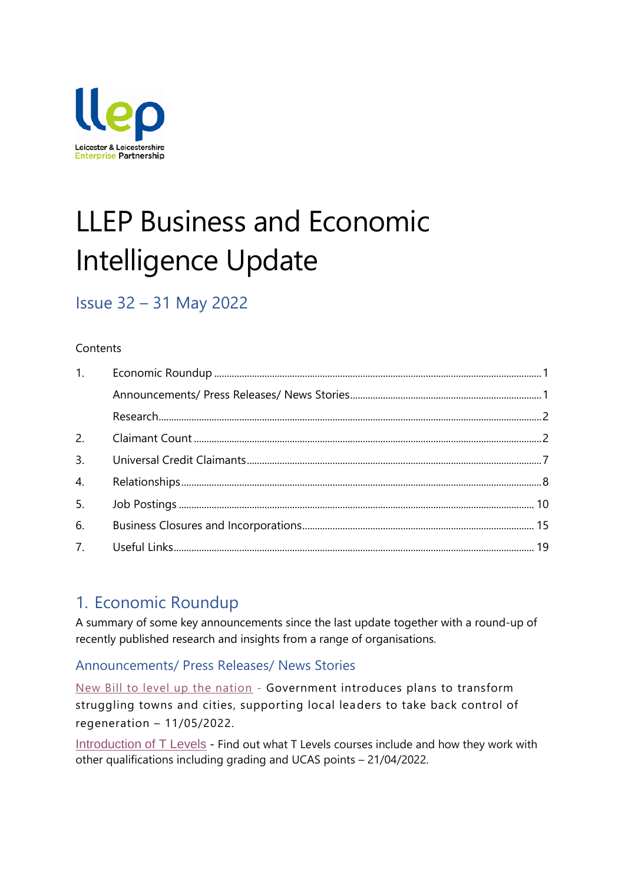

# LLEP Business and Economic Intelligence Update

# Issue 32 – 31 May 2022

#### **Contents**

| 1. |  |
|----|--|
|    |  |
|    |  |
|    |  |
| 3. |  |
| 4. |  |
| 5. |  |
| 6. |  |
|    |  |

## <span id="page-0-0"></span>1. Economic Roundup

A summary of some key announcements since the last update together with a round-up of recently published research and insights from a range of organisations.

<span id="page-0-1"></span>Announcements/ Press Releases/ News Stories

[New Bill to level up the nation](https://www.gov.uk/government/news/new-bill-to-level-up-the-nation) - Government introduces plans to transform struggling towns and cities, supporting local leaders to take back control of regeneration – 11/05/2022.

[Introduction of T Levels](https://www.gov.uk/government/publications/introduction-of-t-levels/introduction-of-t-levels) - Find out what T Levels courses include and how they work with other qualifications including grading and UCAS points – 21/04/2022.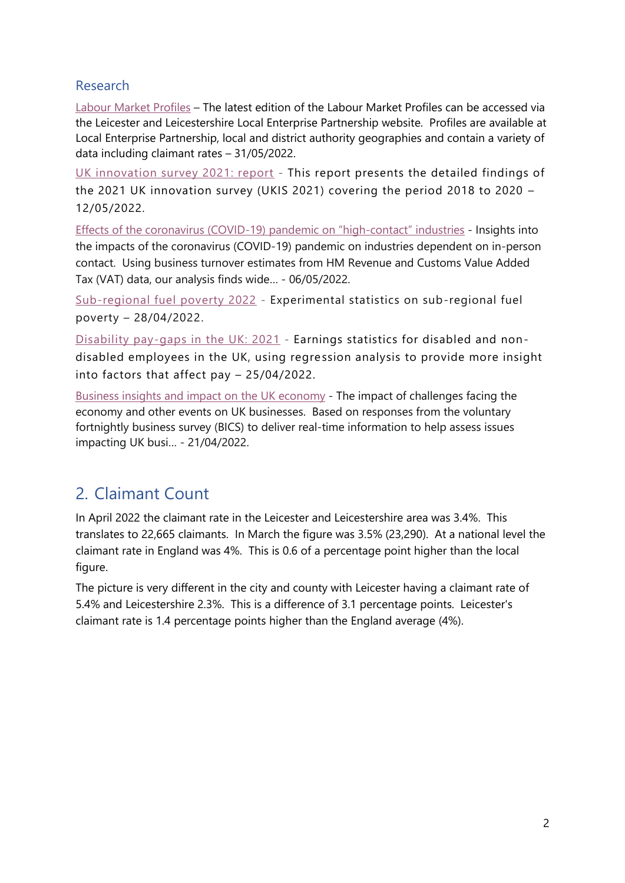#### <span id="page-1-0"></span>Research

[Labour Market Profiles](https://llep.org.uk/document-library/?keywordsearch=&category_id=221) – The latest edition of the Labour Market Profiles can be accessed via the Leicester and Leicestershire Local Enterprise Partnership website. Profiles are available at Local Enterprise Partnership, local and district authority geographies and contain a variety of data including claimant rates – 31/05/2022.

[UK innovation survey 2021: report](https://www.gov.uk/government/statistics/uk-innovation-survey-2021-report) - This report presents the detailed findings of the 2021 UK innovation survey (UKIS 2021) covering the period 2018 to 2020 – 12/05/2022.

[Effects of the coronavirus \(COVID-](https://www.ons.gov.uk/economy/grossvalueaddedgva/articles/effectsofthecoronaviruscovid19pandemiconhighcontactindustries/2022-05-06)19) pandemic on "high-contact" industries - Insights into the impacts of the coronavirus (COVID-19) pandemic on industries dependent on in-person contact. Using business turnover estimates from HM Revenue and Customs Value Added Tax (VAT) data, our analysis finds wide… - 06/05/2022.

[Sub-regional fuel poverty 2022](https://www.gov.uk/government/statistics/sub-regional-fuel-poverty-2022) - Experimental statistics on sub-regional fuel poverty – 28/04/2022.

[Disability pay-gaps in the UK: 2021](https://www.ons.gov.uk/peoplepopulationandcommunity/healthandsocialcare/disability/articles/disabilitypaygapsintheuk/2021) - Earnings statistics for disabled and nondisabled employees in the UK, using regression analysis to provide more insight into factors that affect pay – 25/04/2022.

[Business insights and impact on the UK economy](https://www.ons.gov.uk/businessindustryandtrade/business/businessservices/bulletins/businessinsightsandimpactontheukeconomy/21april2022) - The impact of challenges facing the economy and other events on UK businesses. Based on responses from the voluntary fortnightly business survey (BICS) to deliver real-time information to help assess issues impacting UK busi… - 21/04/2022.

## <span id="page-1-1"></span>2. Claimant Count

In April 2022 the claimant rate in the Leicester and Leicestershire area was 3.4%. This translates to 22,665 claimants. In March the figure was 3.5% (23,290). At a national level the claimant rate in England was 4%. This is 0.6 of a percentage point higher than the local figure.

The picture is very different in the city and county with Leicester having a claimant rate of 5.4% and Leicestershire 2.3%. This is a difference of 3.1 percentage points. Leicester's claimant rate is 1.4 percentage points higher than the England average (4%).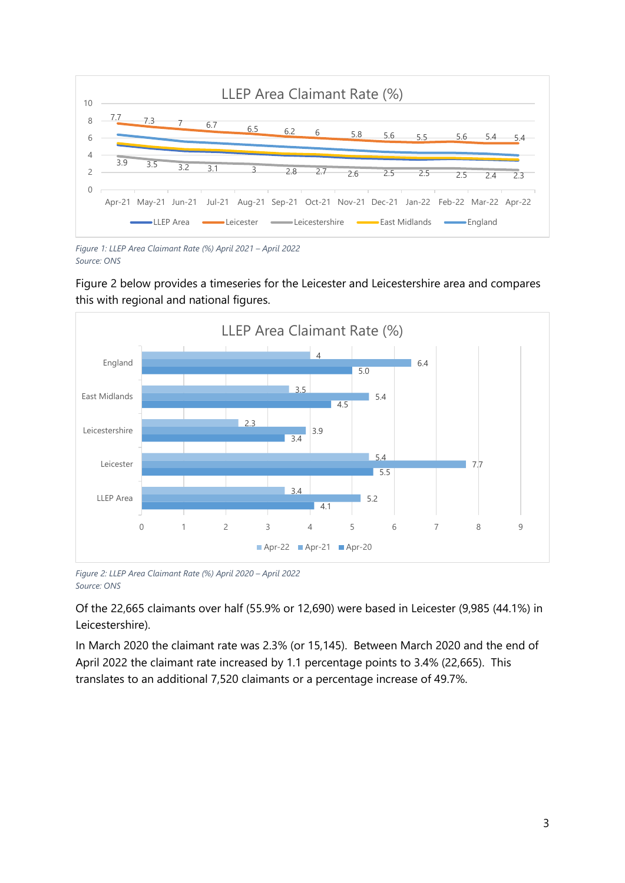

*Figure 1: LLEP Area Claimant Rate (%) April 2021 – April 2022 Source: ONS*

Figure 2 below provides a timeseries for the Leicester and Leicestershire area and compares this with regional and national figures.



*Figure 2: LLEP Area Claimant Rate (%) April 2020 – April 2022 Source: ONS*

Of the 22,665 claimants over half (55.9% or 12,690) were based in Leicester (9,985 (44.1%) in Leicestershire).

In March 2020 the claimant rate was 2.3% (or 15,145). Between March 2020 and the end of April 2022 the claimant rate increased by 1.1 percentage points to 3.4% (22,665). This translates to an additional 7,520 claimants or a percentage increase of 49.7%.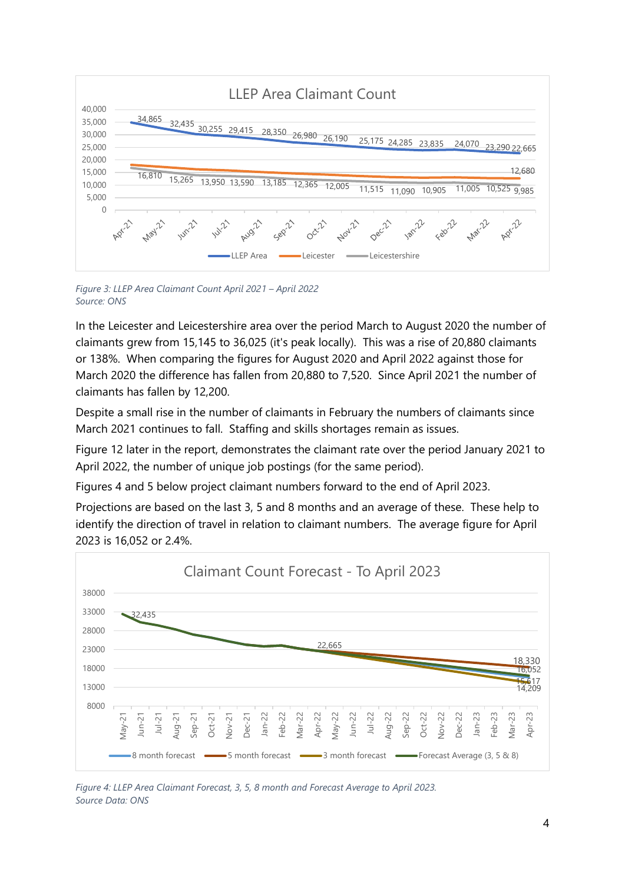

*Figure 3: LLEP Area Claimant Count April 2021 – April 2022 Source: ONS*

In the Leicester and Leicestershire area over the period March to August 2020 the number of claimants grew from 15,145 to 36,025 (it's peak locally). This was a rise of 20,880 claimants or 138%. When comparing the figures for August 2020 and April 2022 against those for March 2020 the difference has fallen from 20,880 to 7,520. Since April 2021 the number of claimants has fallen by 12,200.

Despite a small rise in the number of claimants in February the numbers of claimants since March 2021 continues to fall. Staffing and skills shortages remain as issues.

Figure 12 later in the report, demonstrates the claimant rate over the period January 2021 to April 2022, the number of unique job postings (for the same period).

Figures 4 and 5 below project claimant numbers forward to the end of April 2023.

Projections are based on the last 3, 5 and 8 months and an average of these. These help to identify the direction of travel in relation to claimant numbers. The average figure for April 2023 is 16,052 or 2.4%.



*Figure 4: LLEP Area Claimant Forecast, 3, 5, 8 month and Forecast Average to April 2023. Source Data: ONS*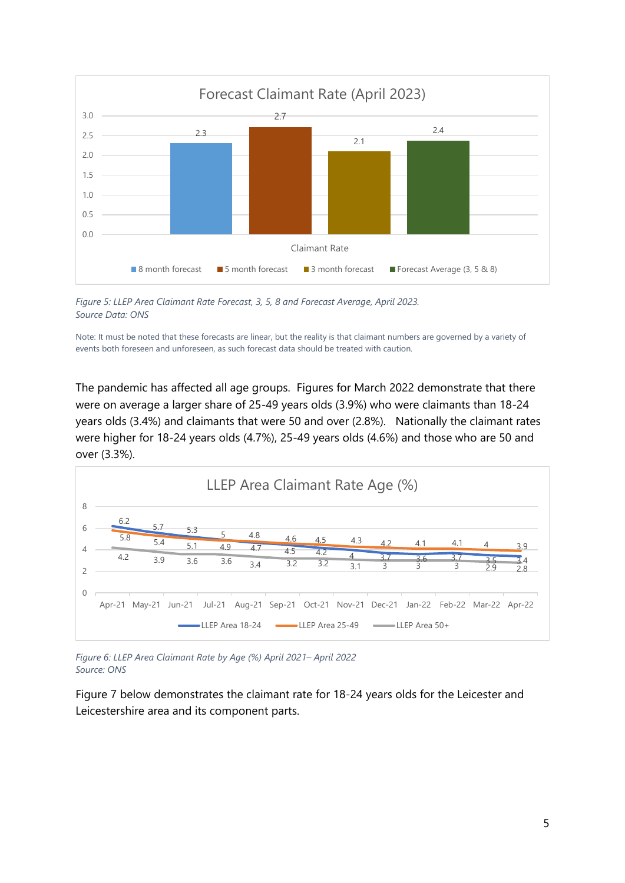

*Figure 5: LLEP Area Claimant Rate Forecast, 3, 5, 8 and Forecast Average, April 2023. Source Data: ONS*

Note: It must be noted that these forecasts are linear, but the reality is that claimant numbers are governed by a variety of events both foreseen and unforeseen, as such forecast data should be treated with caution.

The pandemic has affected all age groups. Figures for March 2022 demonstrate that there were on average a larger share of 25-49 years olds (3.9%) who were claimants than 18-24 years olds (3.4%) and claimants that were 50 and over (2.8%). Nationally the claimant rates were higher for 18-24 years olds (4.7%), 25-49 years olds (4.6%) and those who are 50 and over (3.3%).



*Figure 6: LLEP Area Claimant Rate by Age (%) April 2021– April 2022 Source: ONS*

Figure 7 below demonstrates the claimant rate for 18-24 years olds for the Leicester and Leicestershire area and its component parts.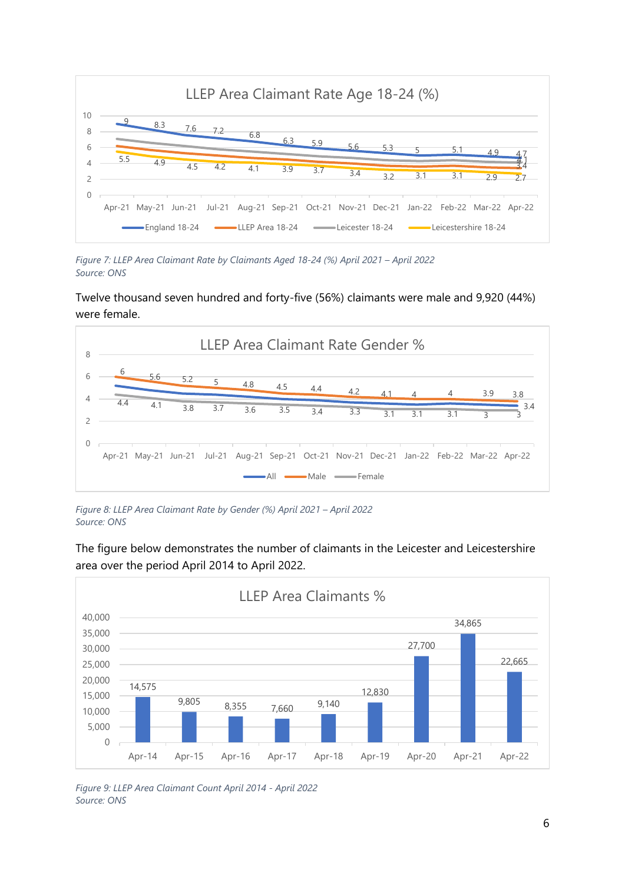

*Figure 7: LLEP Area Claimant Rate by Claimants Aged 18-24 (%) April 2021 – April 2022 Source: ONS*

Twelve thousand seven hundred and forty-five (56%) claimants were male and 9,920 (44%) were female.



*Figure 8: LLEP Area Claimant Rate by Gender (%) April 2021 – April 2022 Source: ONS*



The figure below demonstrates the number of claimants in the Leicester and Leicestershire area over the period April 2014 to April 2022.

*Figure 9: LLEP Area Claimant Count April 2014 - April 2022 Source: ONS*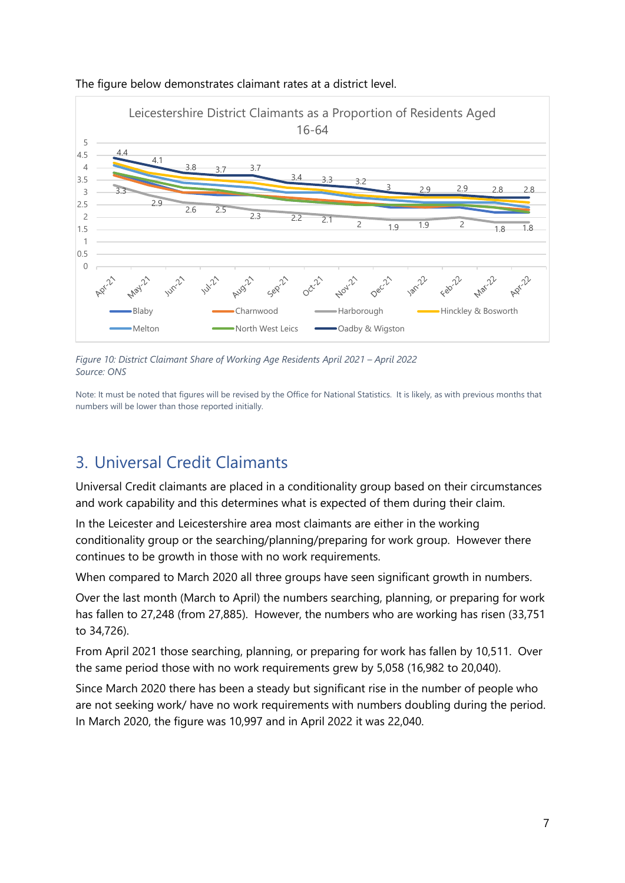

#### The figure below demonstrates claimant rates at a district level.

*Figure 10: District Claimant Share of Working Age Residents April 2021 – April 2022 Source: ONS*

Note: It must be noted that figures will be revised by the Office for National Statistics. It is likely, as with previous months that numbers will be lower than those reported initially.

## <span id="page-6-0"></span>3. Universal Credit Claimants

Universal Credit claimants are placed in a conditionality group based on their circumstances and work capability and this determines what is expected of them during their claim.

In the Leicester and Leicestershire area most claimants are either in the working conditionality group or the searching/planning/preparing for work group. However there continues to be growth in those with no work requirements.

When compared to March 2020 all three groups have seen significant growth in numbers.

Over the last month (March to April) the numbers searching, planning, or preparing for work has fallen to 27,248 (from 27,885). However, the numbers who are working has risen (33,751 to 34,726).

From April 2021 those searching, planning, or preparing for work has fallen by 10,511. Over the same period those with no work requirements grew by 5,058 (16,982 to 20,040).

Since March 2020 there has been a steady but significant rise in the number of people who are not seeking work/ have no work requirements with numbers doubling during the period. In March 2020, the figure was 10,997 and in April 2022 it was 22,040.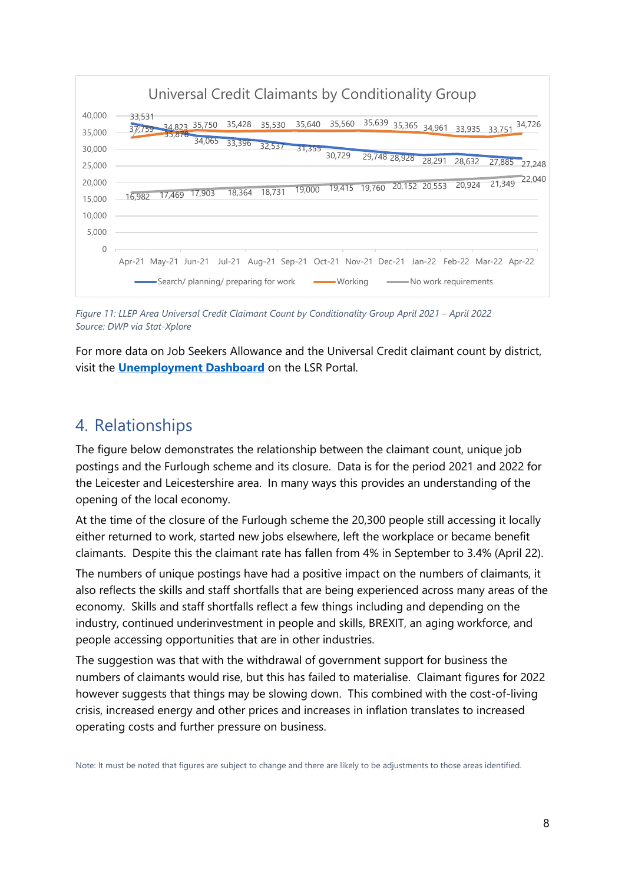

*Figure 11: LLEP Area Universal Credit Claimant Count by Conditionality Group April 2021 – April 2022 Source: DWP via Stat-Xplore* 

For more data on Job Seekers Allowance and the Universal Credit claimant count by district, visit the **[Unemployment Dashboard](https://www.lsr-online.org/economy.html)** on the LSR Portal.

## <span id="page-7-0"></span>4. Relationships

The figure below demonstrates the relationship between the claimant count, unique job postings and the Furlough scheme and its closure. Data is for the period 2021 and 2022 for the Leicester and Leicestershire area. In many ways this provides an understanding of the opening of the local economy.

At the time of the closure of the Furlough scheme the 20,300 people still accessing it locally either returned to work, started new jobs elsewhere, left the workplace or became benefit claimants. Despite this the claimant rate has fallen from 4% in September to 3.4% (April 22).

The numbers of unique postings have had a positive impact on the numbers of claimants, it also reflects the skills and staff shortfalls that are being experienced across many areas of the economy. Skills and staff shortfalls reflect a few things including and depending on the industry, continued underinvestment in people and skills, BREXIT, an aging workforce, and people accessing opportunities that are in other industries.

The suggestion was that with the withdrawal of government support for business the numbers of claimants would rise, but this has failed to materialise. Claimant figures for 2022 however suggests that things may be slowing down. This combined with the cost-of-living crisis, increased energy and other prices and increases in inflation translates to increased operating costs and further pressure on business.

Note: It must be noted that figures are subject to change and there are likely to be adjustments to those areas identified.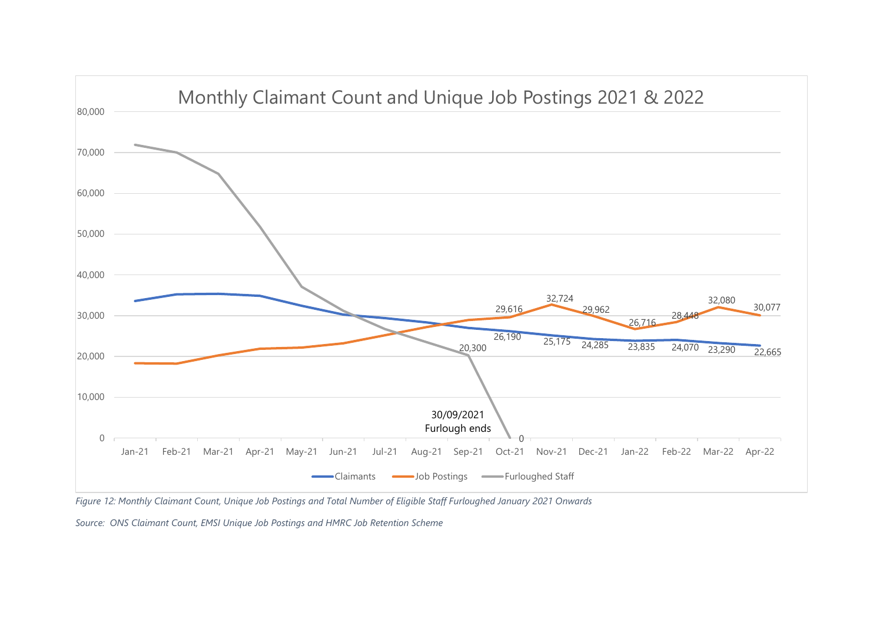

*Figure 12: Monthly Claimant Count, Unique Job Postings and Total Number of Eligible Staff Furloughed January 2021 Onwards*

*Source: ONS Claimant Count, EMSI Unique Job Postings and HMRC Job Retention Scheme*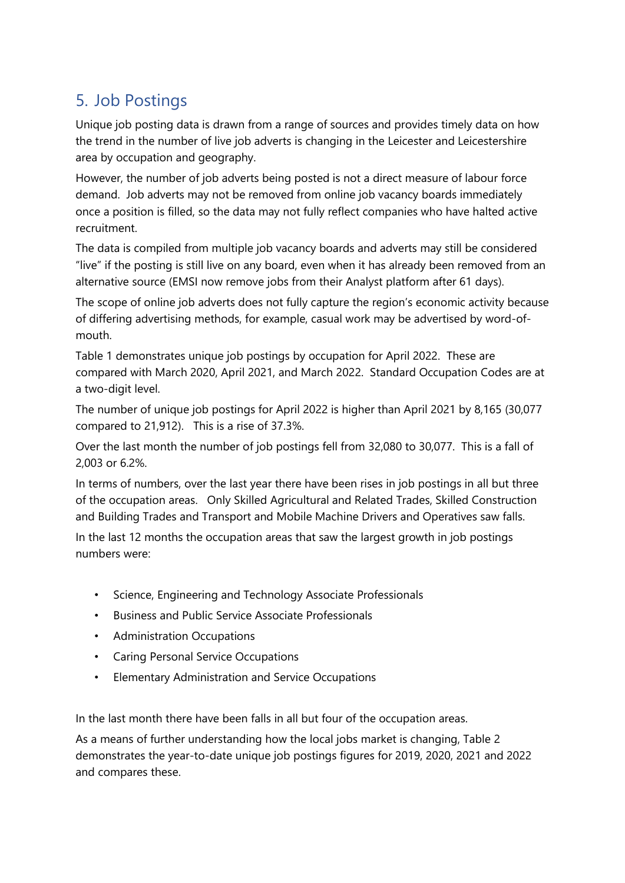# <span id="page-9-0"></span>5. Job Postings

Unique job posting data is drawn from a range of sources and provides timely data on how the trend in the number of live job adverts is changing in the Leicester and Leicestershire area by occupation and geography.

However, the number of job adverts being posted is not a direct measure of labour force demand. Job adverts may not be removed from online job vacancy boards immediately once a position is filled, so the data may not fully reflect companies who have halted active recruitment.

The data is compiled from multiple job vacancy boards and adverts may still be considered "live" if the posting is still live on any board, even when it has already been removed from an alternative source (EMSI now remove jobs from their Analyst platform after 61 days).

The scope of online job adverts does not fully capture the region's economic activity because of differing advertising methods, for example, casual work may be advertised by word-ofmouth.

Table 1 demonstrates unique job postings by occupation for April 2022. These are compared with March 2020, April 2021, and March 2022. Standard Occupation Codes are at a two-digit level.

The number of unique job postings for April 2022 is higher than April 2021 by 8,165 (30,077 compared to 21,912). This is a rise of 37.3%.

Over the last month the number of job postings fell from 32,080 to 30,077. This is a fall of 2,003 or 6.2%.

In terms of numbers, over the last year there have been rises in job postings in all but three of the occupation areas. Only Skilled Agricultural and Related Trades, Skilled Construction and Building Trades and Transport and Mobile Machine Drivers and Operatives saw falls.

In the last 12 months the occupation areas that saw the largest growth in job postings numbers were:

- Science, Engineering and Technology Associate Professionals
- Business and Public Service Associate Professionals
- Administration Occupations
- Caring Personal Service Occupations
- Elementary Administration and Service Occupations

In the last month there have been falls in all but four of the occupation areas.

As a means of further understanding how the local jobs market is changing, Table 2 demonstrates the year-to-date unique job postings figures for 2019, 2020, 2021 and 2022 and compares these.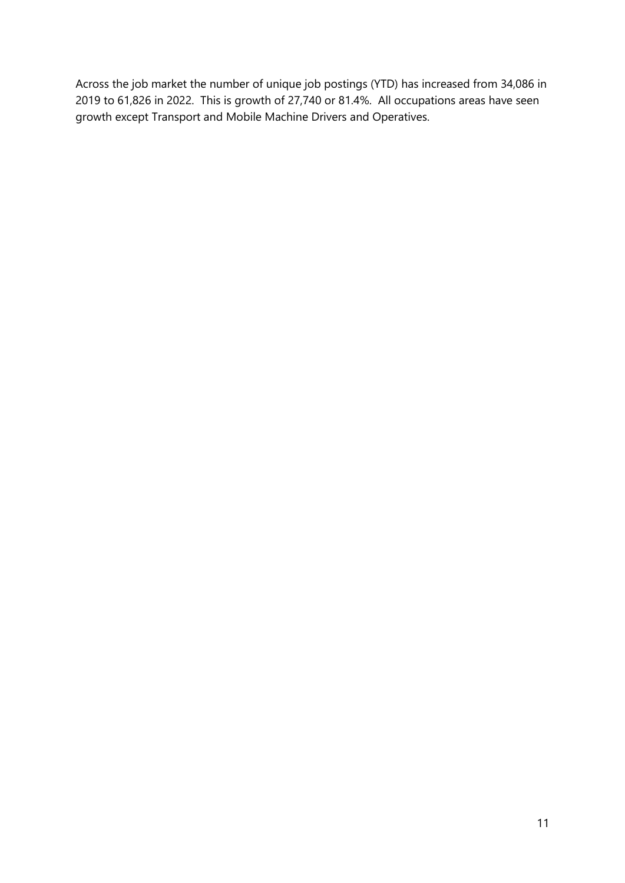Across the job market the number of unique job postings (YTD) has increased from 34,086 in 2019 to 61,826 in 2022. This is growth of 27,740 or 81.4%. All occupations areas have seen growth except Transport and Mobile Machine Drivers and Operatives.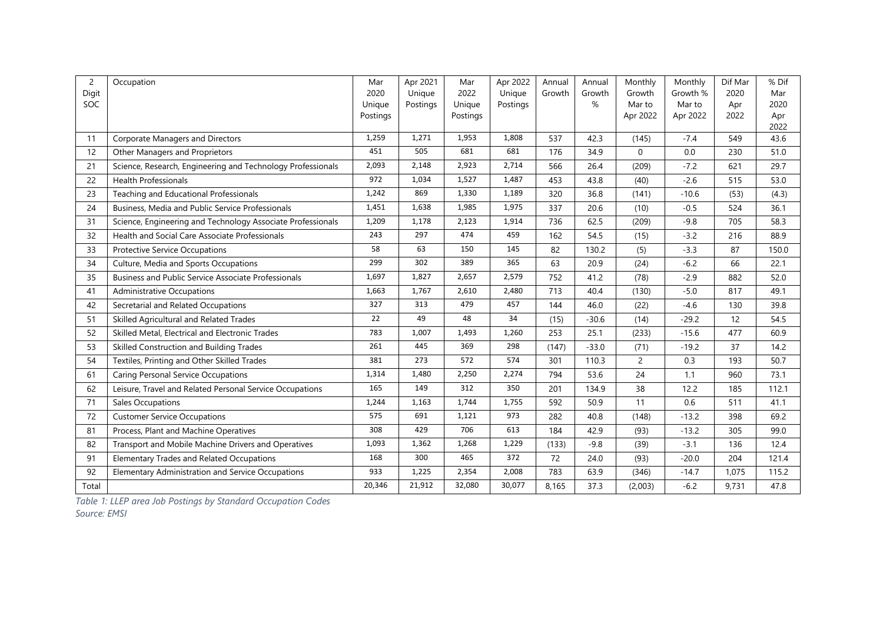| $\overline{c}$ | Occupation                                                  | Mar                | Apr 2021 | Mar                | Apr 2022 | Annual | Annual  | Monthly            | Monthly            | Dif Mar     | % Dif       |
|----------------|-------------------------------------------------------------|--------------------|----------|--------------------|----------|--------|---------|--------------------|--------------------|-------------|-------------|
| Digit          |                                                             | 2020               | Unique   | 2022               | Unique   | Growth | Growth  | Growth             | Growth %           | 2020        | Mar         |
| SOC            |                                                             | Unique<br>Postings | Postings | Unique<br>Postings | Postings |        | %       | Mar to<br>Apr 2022 | Mar to<br>Apr 2022 | Apr<br>2022 | 2020<br>Apr |
|                |                                                             |                    |          |                    |          |        |         |                    |                    |             | 2022        |
| 11             | Corporate Managers and Directors                            | 1,259              | 1,271    | 1,953              | 1,808    | 537    | 42.3    | (145)              | $-7.4$             | 549         | 43.6        |
| 12             | Other Managers and Proprietors                              | 451                | 505      | 681                | 681      | 176    | 34.9    | $\mathbf 0$        | 0.0                | 230         | 51.0        |
| 21             | Science, Research, Engineering and Technology Professionals | 2,093              | 2,148    | 2,923              | 2,714    | 566    | 26.4    | (209)              | $-7.2$             | 621         | 29.7        |
| 22             | <b>Health Professionals</b>                                 | 972                | 1,034    | 1,527              | 1,487    | 453    | 43.8    | (40)               | $-2.6$             | 515         | 53.0        |
| 23             | Teaching and Educational Professionals                      | 1,242              | 869      | 1,330              | 1,189    | 320    | 36.8    | (141)              | $-10.6$            | (53)        | (4.3)       |
| 24             | Business, Media and Public Service Professionals            | 1,451              | 1,638    | 1,985              | 1,975    | 337    | 20.6    | (10)               | $-0.5$             | 524         | 36.1        |
| 31             | Science, Engineering and Technology Associate Professionals | 1,209              | 1,178    | 2,123              | 1,914    | 736    | 62.5    | (209)              | $-9.8$             | 705         | 58.3        |
| 32             | Health and Social Care Associate Professionals              | 243                | 297      | 474                | 459      | 162    | 54.5    | (15)               | $-3.2$             | 216         | 88.9        |
| 33             | <b>Protective Service Occupations</b>                       | 58                 | 63       | 150                | 145      | 82     | 130.2   | (5)                | $-3.3$             | 87          | 150.0       |
| 34             | Culture, Media and Sports Occupations                       | 299                | 302      | 389                | 365      | 63     | 20.9    | (24)               | $-6.2$             | 66          | 22.1        |
| 35             | <b>Business and Public Service Associate Professionals</b>  | 1,697              | 1,827    | 2,657              | 2,579    | 752    | 41.2    | (78)               | $-2.9$             | 882         | 52.0        |
| 41             | <b>Administrative Occupations</b>                           | 1,663              | 1,767    | 2,610              | 2,480    | 713    | 40.4    | (130)              | $-5.0$             | 817         | 49.1        |
| 42             | Secretarial and Related Occupations                         | 327                | 313      | 479                | 457      | 144    | 46.0    | (22)               | $-4.6$             | 130         | 39.8        |
| 51             | Skilled Agricultural and Related Trades                     | 22                 | 49       | 48                 | 34       | (15)   | $-30.6$ | (14)               | $-29.2$            | 12          | 54.5        |
| 52             | Skilled Metal, Electrical and Electronic Trades             | 783                | 1,007    | 1,493              | 1,260    | 253    | 25.1    | (233)              | $-15.6$            | 477         | 60.9        |
| 53             | Skilled Construction and Building Trades                    | 261                | 445      | 369                | 298      | (147)  | $-33.0$ | (71)               | $-19.2$            | 37          | 14.2        |
| 54             | Textiles, Printing and Other Skilled Trades                 | 381                | 273      | 572                | 574      | 301    | 110.3   | $\overline{2}$     | 0.3                | 193         | 50.7        |
| 61             | <b>Caring Personal Service Occupations</b>                  | 1,314              | 1,480    | 2,250              | 2,274    | 794    | 53.6    | 24                 | 1.1                | 960         | 73.1        |
| 62             | Leisure, Travel and Related Personal Service Occupations    | 165                | 149      | 312                | 350      | 201    | 134.9   | 38                 | 12.2               | 185         | 112.1       |
| 71             | Sales Occupations                                           | 1,244              | 1,163    | 1,744              | 1,755    | 592    | 50.9    | 11                 | 0.6                | 511         | 41.1        |
| 72             | <b>Customer Service Occupations</b>                         | 575                | 691      | 1,121              | 973      | 282    | 40.8    | (148)              | $-13.2$            | 398         | 69.2        |
| 81             | Process, Plant and Machine Operatives                       | 308                | 429      | 706                | 613      | 184    | 42.9    | (93)               | $-13.2$            | 305         | 99.0        |
| 82             | Transport and Mobile Machine Drivers and Operatives         |                    | 1,362    | 1,268              | 1,229    | (133)  | $-9.8$  | (39)               | $-3.1$             | 136         | 12.4        |
| 91             | Elementary Trades and Related Occupations                   | 168                | 300      | 465                | 372      | 72     | 24.0    | (93)               | $-20.0$            | 204         | 121.4       |
| 92             | <b>Elementary Administration and Service Occupations</b>    | 933                | 1,225    | 2,354              | 2,008    | 783    | 63.9    | (346)              | $-14.7$            | 1,075       | 115.2       |
| Total          |                                                             | 20,346             | 21,912   | 32,080             | 30,077   | 8,165  | 37.3    | (2,003)            | $-6.2$             | 9,731       | 47.8        |

*Table 1: LLEP area Job Postings by Standard Occupation Codes*

*Source: EMSI*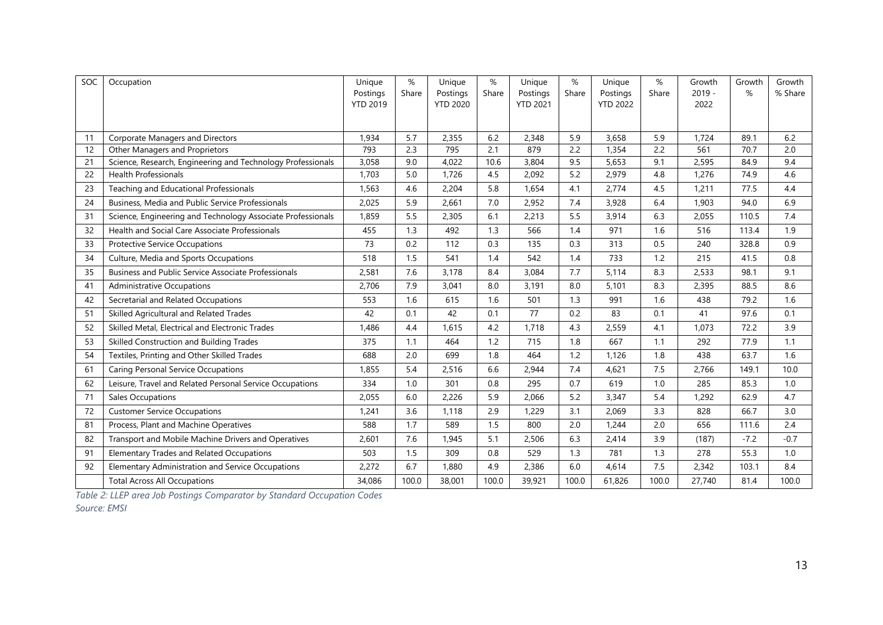| SOC | Occupation                                                  |                             | $\%$  | Unique                      | $\%$  | Unique                      | $\%$  | Unique                      | $\%$  | Growth           | Growth | Growth  |
|-----|-------------------------------------------------------------|-----------------------------|-------|-----------------------------|-------|-----------------------------|-------|-----------------------------|-------|------------------|--------|---------|
|     |                                                             | Postings<br><b>YTD 2019</b> | Share | Postings<br><b>YTD 2020</b> | Share | Postings<br><b>YTD 2021</b> | Share | Postings<br><b>YTD 2022</b> | Share | $2019 -$<br>2022 | %      | % Share |
|     |                                                             |                             |       |                             |       |                             |       |                             |       |                  |        |         |
|     |                                                             |                             |       |                             |       |                             |       |                             |       |                  |        |         |
| 11  | Corporate Managers and Directors                            | 1,934                       | 5.7   | 2,355                       | 6.2   | 2,348                       | 5.9   | 3,658                       | 5.9   | 1,724            | 89.1   | 6.2     |
| 12  | Other Managers and Proprietors                              | 793                         | 2.3   | 795                         | 2.1   | 879                         | 2.2   | 1,354                       | 2.2   | 561              | 70.7   | 2.0     |
| 21  | Science, Research, Engineering and Technology Professionals | 3,058                       | 9.0   | 4,022                       | 10.6  | 3,804                       | 9.5   | 5,653                       | 9.1   | 2,595            | 84.9   | 9.4     |
| 22  | <b>Health Professionals</b>                                 | 1,703                       | 5.0   | 1,726                       | 4.5   | 2,092                       | 5.2   | 2,979                       | 4.8   | 1,276            | 74.9   | 4.6     |
| 23  | Teaching and Educational Professionals                      | 1,563                       | 4.6   | 2,204                       | 5.8   | 1,654                       | 4.1   | 2,774                       | 4.5   | 1,211            | 77.5   | 4.4     |
| 24  | Business, Media and Public Service Professionals            | 2,025                       | 5.9   | 2,661                       | 7.0   | 2,952                       | 7.4   | 3,928                       | 6.4   | 1,903            | 94.0   | 6.9     |
| 31  | Science, Engineering and Technology Associate Professionals | 1,859                       | 5.5   | 2,305                       | 6.1   | 2,213                       | 5.5   | 3,914                       | 6.3   | 2,055            | 110.5  | 7.4     |
| 32  | Health and Social Care Associate Professionals              | 455                         | 1.3   | 492                         | 1.3   | 566                         | 1.4   | 971                         | 1.6   | 516              | 113.4  | 1.9     |
| 33  | <b>Protective Service Occupations</b>                       | 73                          | 0.2   | 112                         | 0.3   | 135                         | 0.3   | 313                         | 0.5   | 240              | 328.8  | 0.9     |
| 34  | Culture, Media and Sports Occupations                       | 518                         | 1.5   | 541                         | 1.4   | 542                         | 1.4   | 733                         | 1.2   | 215              | 41.5   | 0.8     |
| 35  | Business and Public Service Associate Professionals         | 2,581                       | 7.6   | 3,178                       | 8.4   | 3,084                       | 7.7   | 5,114                       | 8.3   | 2,533            | 98.1   | 9.1     |
| 41  | <b>Administrative Occupations</b>                           | 2,706                       | 7.9   | 3,041                       | 8.0   | 3,191                       | 8.0   | 5,101                       | 8.3   | 2,395            | 88.5   | 8.6     |
| 42  | Secretarial and Related Occupations                         | 553                         | 1.6   | 615                         | 1.6   | 501                         | 1.3   | 991                         | 1.6   | 438              | 79.2   | 1.6     |
| 51  | Skilled Agricultural and Related Trades                     | 42                          | 0.1   | 42                          | 0.1   | 77                          | 0.2   | 83                          | 0.1   | 41               | 97.6   | 0.1     |
| 52  | Skilled Metal, Electrical and Electronic Trades             | 1.486                       | 4.4   | 1,615                       | 4.2   | 1,718                       | 4.3   | 2,559                       | 4.1   | 1,073            | 72.2   | 3.9     |
| 53  | Skilled Construction and Building Trades                    | 375                         | 1.1   | 464                         | 1.2   | 715                         | 1.8   | 667                         | 1.1   | 292              | 77.9   | 1.1     |
| 54  | Textiles, Printing and Other Skilled Trades                 | 688                         | 2.0   | 699                         | 1.8   | 464                         | 1.2   | 1,126                       | 1.8   | 438              | 63.7   | 1.6     |
| 61  | <b>Caring Personal Service Occupations</b>                  | 1,855                       | 5.4   | 2,516                       | 6.6   | 2,944                       | 7.4   | 4,621                       | 7.5   | 2,766            | 149.1  | 10.0    |
| 62  | Leisure, Travel and Related Personal Service Occupations    | 334                         | 1.0   | 301                         | 0.8   | 295                         | 0.7   | 619                         | 1.0   | 285              | 85.3   | 1.0     |
| 71  | <b>Sales Occupations</b>                                    | 2,055                       | 6.0   | 2,226                       | 5.9   | 2,066                       | 5.2   | 3,347                       | 5.4   | 1,292            | 62.9   | 4.7     |
| 72  | <b>Customer Service Occupations</b>                         | 1,241                       | 3.6   | 1.118                       | 2.9   | 1,229                       | 3.1   | 2,069                       | 3.3   | 828              | 66.7   | 3.0     |
| 81  | Process, Plant and Machine Operatives                       | 588                         | 1.7   | 589                         | 1.5   | 800                         | 2.0   | 1,244                       | 2.0   | 656              | 111.6  | 2.4     |
| 82  | Transport and Mobile Machine Drivers and Operatives         | 2,601                       | 7.6   | 1,945                       | 5.1   | 2,506                       | 6.3   | 2,414                       | 3.9   | (187)            | $-7.2$ | $-0.7$  |
| 91  | <b>Elementary Trades and Related Occupations</b>            | 503                         | 1.5   | 309                         | 0.8   | 529                         | 1.3   | 781                         | 1.3   | 278              | 55.3   | 1.0     |
| 92  | Elementary Administration and Service Occupations           | 2,272                       | 6.7   | 1.880                       | 4.9   | 2,386                       | 6.0   | 4,614                       | 7.5   | 2,342            | 103.1  | 8.4     |
|     | <b>Total Across All Occupations</b>                         | 34,086                      | 100.0 | 38,001                      | 100.0 | 39,921                      | 100.0 | 61,826                      | 100.0 | 27,740           | 81.4   | 100.0   |

*Table 2: LLEP area Job Postings Comparator by Standard Occupation Codes Source: EMSI*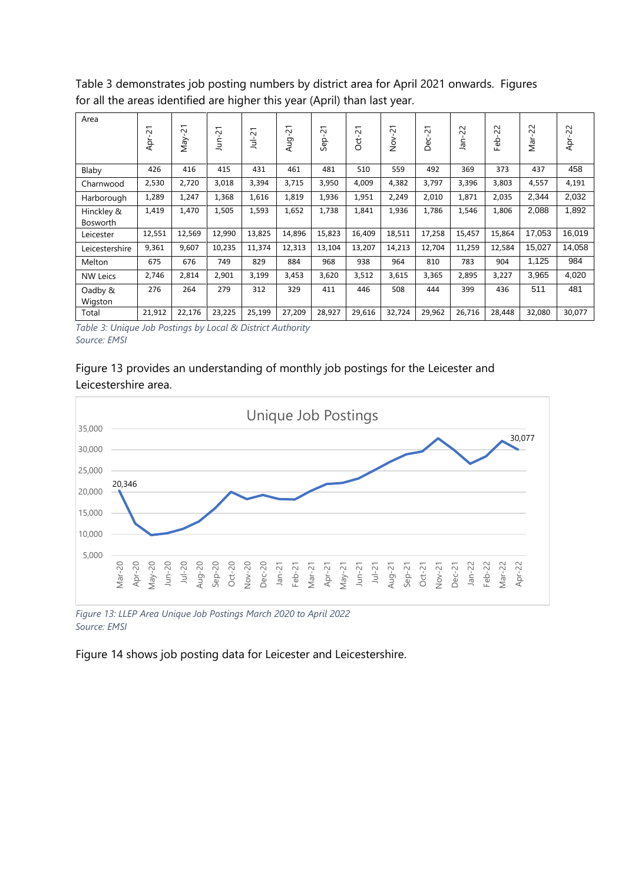Table 3 demonstrates job posting numbers by district area for April 2021 onwards. Figures for all the areas identified are higher this year (April) than last year.

| Area                          | 21<br>Apr- | $\overline{c}$<br>ΛeΜ | $\overline{c}$<br>È | $\overline{c}$<br>$\frac{1}{2}$ | 21<br>Aug | 21<br>Sep | 21<br>Oct | $\overline{21}$<br>$\frac{5}{2}$ | $\overline{ }$<br>$\sim$<br>ပ<br>ă | 22<br>āñ | $\sim$<br>$\overline{\mathsf{N}}$<br>Feb | 22<br>Nar- | 22<br>Apr- |
|-------------------------------|------------|-----------------------|---------------------|---------------------------------|-----------|-----------|-----------|----------------------------------|------------------------------------|----------|------------------------------------------|------------|------------|
| Blaby                         | 426        | 416                   | 415                 | 431                             | 461       | 481       | 510       | 559                              | 492                                | 369      | 373                                      | 437        | 458        |
| Charnwood                     | 2,530      | 2,720                 | 3,018               | 3,394                           | 3,715     | 3,950     | 4,009     | 4,382                            | 3,797                              | 3,396    | 3,803                                    | 4,557      | 4,191      |
| Harborough                    | 1,289      | 1,247                 | 1,368               | 1,616                           | 1,819     | 1,936     | 1,951     | 2,249                            | 2,010                              | 1,871    | 2,035                                    | 2,344      | 2,032      |
| Hinckley &<br><b>Bosworth</b> | 1,419      | 1,470                 | 1,505               | 1,593                           | 1,652     | 1,738     | 1,841     | 1,936                            | 1,786                              | 1,546    | 1,806                                    | 2,088      | 1,892      |
| Leicester                     | 12,551     | 12,569                | 12,990              | 13,825                          | 14,896    | 15,823    | 16,409    | 18,511                           | 17,258                             | 15,457   | 15,864                                   | 17,053     | 16,019     |
| Leicestershire                | 9,361      | 9,607                 | 10,235              | 11,374                          | 12,313    | 13,104    | 13,207    | 14,213                           | 12,704                             | 11,259   | 12,584                                   | 15,027     | 14,058     |
| Melton                        | 675        | 676                   | 749                 | 829                             | 884       | 968       | 938       | 964                              | 810                                | 783      | 904                                      | 1,125      | 984        |
| <b>NW Leics</b>               | 2,746      | 2,814                 | 2,901               | 3,199                           | 3,453     | 3,620     | 3,512     | 3,615                            | 3,365                              | 2,895    | 3,227                                    | 3,965      | 4,020      |
| Oadby &<br>Wigston            | 276        | 264                   | 279                 | 312                             | 329       | 411       | 446       | 508                              | 444                                | 399      | 436                                      | 511        | 481        |
| Total                         | 21,912     | 22,176                | 23,225              | 25,199                          | 27,209    | 28,927    | 29,616    | 32,724                           | 29,962                             | 26,716   | 28,448                                   | 32,080     | 30,077     |

*Table 3: Unique Job Postings by Local & District Authority Source: EMSI*

#### Figure 13 provides an understanding of monthly job postings for the Leicester and Leicestershire area.



*Figure 13: LLEP Area Unique Job Postings March 2020 to April 2022 Source: EMSI*

Figure 14 shows job posting data for Leicester and Leicestershire.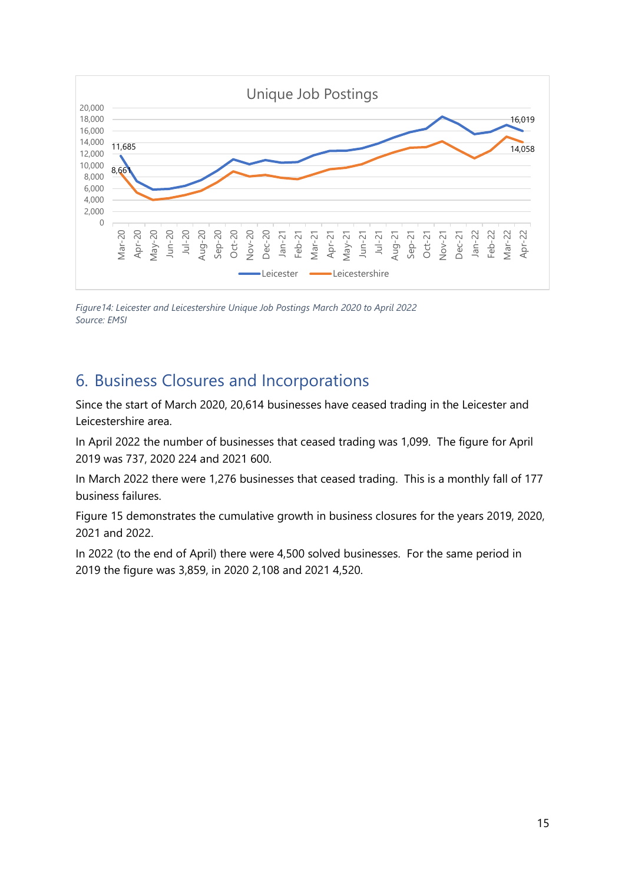

*Figure14: Leicester and Leicestershire Unique Job Postings March 2020 to April 2022 Source: EMSI*

# <span id="page-14-0"></span>6. Business Closures and Incorporations

Since the start of March 2020, 20,614 businesses have ceased trading in the Leicester and Leicestershire area.

In April 2022 the number of businesses that ceased trading was 1,099. The figure for April 2019 was 737, 2020 224 and 2021 600.

In March 2022 there were 1,276 businesses that ceased trading. This is a monthly fall of 177 business failures.

Figure 15 demonstrates the cumulative growth in business closures for the years 2019, 2020, 2021 and 2022.

In 2022 (to the end of April) there were 4,500 solved businesses. For the same period in 2019 the figure was 3,859, in 2020 2,108 and 2021 4,520.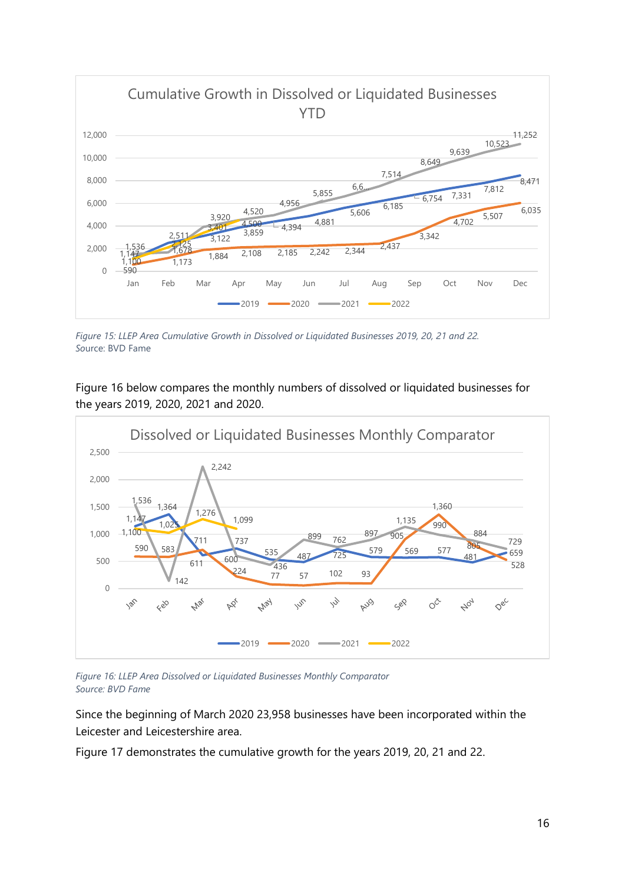

*Figure 15: LLEP Area Cumulative Growth in Dissolved or Liquidated Businesses 2019, 20, 21 and 22. So*urce: BVD Fame

Figure 16 below compares the monthly numbers of dissolved or liquidated businesses for the years 2019, 2020, 2021 and 2020.



*Figure 16: LLEP Area Dissolved or Liquidated Businesses Monthly Comparator Source: BVD Fame*

Since the beginning of March 2020 23,958 businesses have been incorporated within the Leicester and Leicestershire area.

Figure 17 demonstrates the cumulative growth for the years 2019, 20, 21 and 22.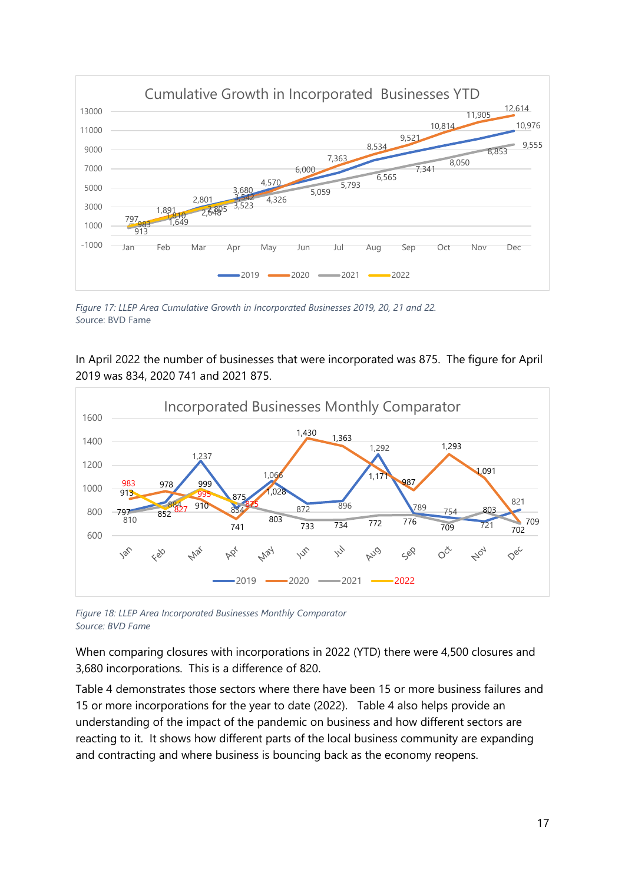

*Figure 17: LLEP Area Cumulative Growth in Incorporated Businesses 2019, 20, 21 and 22. So*urce: BVD Fame

In April 2022 the number of businesses that were incorporated was 875. The figure for April 2019 was 834, 2020 741 and 2021 875.



*Figure 18: LLEP Area Incorporated Businesses Monthly Comparator Source: BVD Fame*

When comparing closures with incorporations in 2022 (YTD) there were 4,500 closures and 3,680 incorporations. This is a difference of 820.

Table 4 demonstrates those sectors where there have been 15 or more business failures and 15 or more incorporations for the year to date (2022). Table 4 also helps provide an understanding of the impact of the pandemic on business and how different sectors are reacting to it. It shows how different parts of the local business community are expanding and contracting and where business is bouncing back as the economy reopens.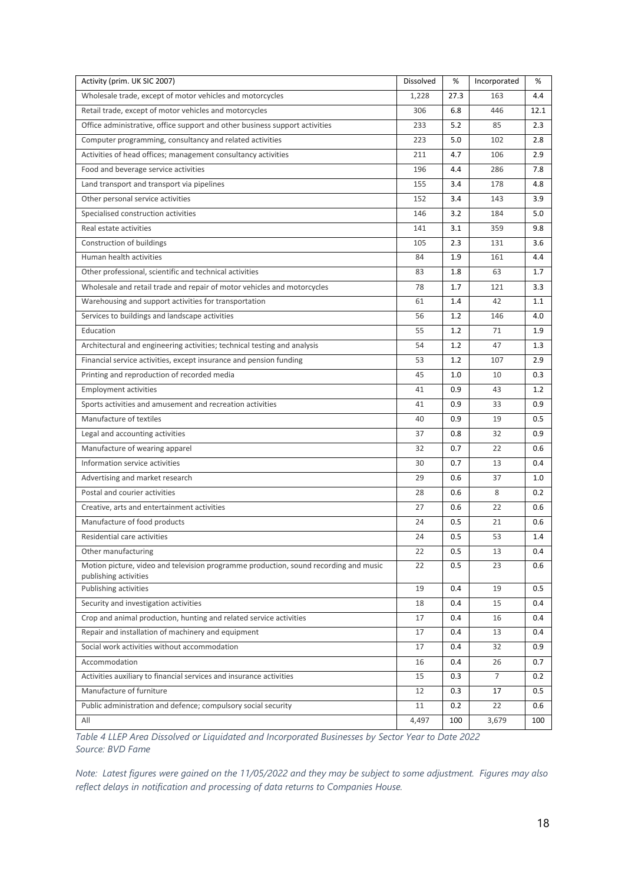| Activity (prim. UK SIC 2007)                                                                                  | Dissolved | %    | Incorporated | %    |
|---------------------------------------------------------------------------------------------------------------|-----------|------|--------------|------|
| Wholesale trade, except of motor vehicles and motorcycles                                                     | 1,228     | 27.3 | 163          | 4.4  |
| Retail trade, except of motor vehicles and motorcycles                                                        | 306       | 6.8  | 446          | 12.1 |
| Office administrative, office support and other business support activities                                   | 233       | 5.2  | 85           | 2.3  |
| Computer programming, consultancy and related activities                                                      | 223       | 5.0  | 102          | 2.8  |
| Activities of head offices; management consultancy activities                                                 | 211       | 4.7  | 106          | 2.9  |
| Food and beverage service activities                                                                          | 196       | 4.4  | 286          | 7.8  |
| Land transport and transport via pipelines                                                                    | 155       | 3.4  | 178          | 4.8  |
| Other personal service activities                                                                             | 152       | 3.4  | 143          | 3.9  |
| Specialised construction activities                                                                           | 146       | 3.2  | 184          | 5.0  |
| Real estate activities                                                                                        | 141       | 3.1  | 359          | 9.8  |
| Construction of buildings                                                                                     | 105       | 2.3  | 131          | 3.6  |
| Human health activities                                                                                       | 84        | 1.9  | 161          | 4.4  |
| Other professional, scientific and technical activities                                                       | 83        | 1.8  | 63           | 1.7  |
| Wholesale and retail trade and repair of motor vehicles and motorcycles                                       | 78        | 1.7  | 121          | 3.3  |
| Warehousing and support activities for transportation                                                         | 61        | 1.4  | 42           | 1.1  |
| Services to buildings and landscape activities                                                                | 56        | 1.2  | 146          | 4.0  |
| Education                                                                                                     | 55        | 1.2  | 71           | 1.9  |
| Architectural and engineering activities; technical testing and analysis                                      | 54        | 1.2  | 47           | 1.3  |
| Financial service activities, except insurance and pension funding                                            | 53        | 1.2  | 107          | 2.9  |
| Printing and reproduction of recorded media                                                                   | 45        | 1.0  | 10           | 0.3  |
| <b>Employment activities</b>                                                                                  | 41        | 0.9  | 43           | 1.2  |
| Sports activities and amusement and recreation activities                                                     | 41        | 0.9  | 33           | 0.9  |
| Manufacture of textiles                                                                                       | 40        | 0.9  | 19           | 0.5  |
| Legal and accounting activities                                                                               | 37        | 0.8  | 32           | 0.9  |
| Manufacture of wearing apparel                                                                                | 32        | 0.7  | 22           | 0.6  |
| Information service activities                                                                                | 30        | 0.7  | 13           | 0.4  |
| Advertising and market research                                                                               | 29        | 0.6  | 37           | 1.0  |
| Postal and courier activities                                                                                 | 28        | 0.6  | 8            | 0.2  |
| Creative, arts and entertainment activities                                                                   | 27        | 0.6  | 22           | 0.6  |
| Manufacture of food products                                                                                  | 24        | 0.5  | 21           | 0.6  |
| Residential care activities                                                                                   | 24        | 0.5  | 53           | 1.4  |
| Other manufacturing                                                                                           | 22        | 0.5  | 13           | 0.4  |
| Motion picture, video and television programme production, sound recording and music<br>publishing activities | 22        | 0.5  | 23           | 0.6  |
| Publishing activities                                                                                         | 19        | 0.4  | 19           | 0.5  |
| Security and investigation activities                                                                         | 18        | 0.4  | 15           | 0.4  |
| Crop and animal production, hunting and related service activities                                            | 17        | 0.4  | 16           | 0.4  |
| Repair and installation of machinery and equipment                                                            | 17        | 0.4  | 13           | 0.4  |
| Social work activities without accommodation                                                                  | 17        | 0.4  | 32           | 0.9  |
| Accommodation                                                                                                 | 16        | 0.4  | 26           | 0.7  |
| Activities auxiliary to financial services and insurance activities                                           | 15        | 0.3  | 7            | 0.2  |
| Manufacture of furniture                                                                                      | 12        | 0.3  | 17           | 0.5  |
| Public administration and defence; compulsory social security                                                 | 11        | 0.2  | 22           | 0.6  |
| All                                                                                                           | 4,497     | 100  | 3,679        | 100  |

*Table 4 LLEP Area Dissolved or Liquidated and Incorporated Businesses by Sector Year to Date 2022 Source: BVD Fame*

*Note: Latest figures were gained on the 11/05/2022 and they may be subject to some adjustment. Figures may also reflect delays in notification and processing of data returns to Companies House.*